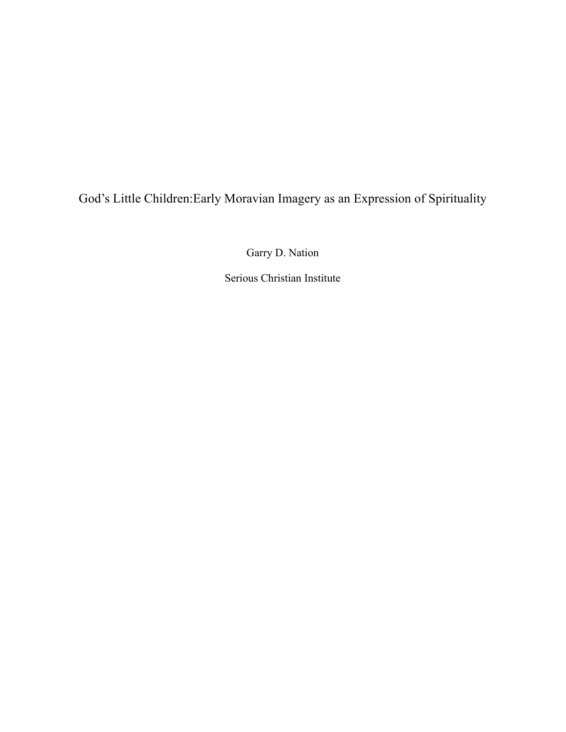# God's Little Children:Early Moravian Imagery as an Expression of Spirituality

Garry D. Nation

Serious Christian Institute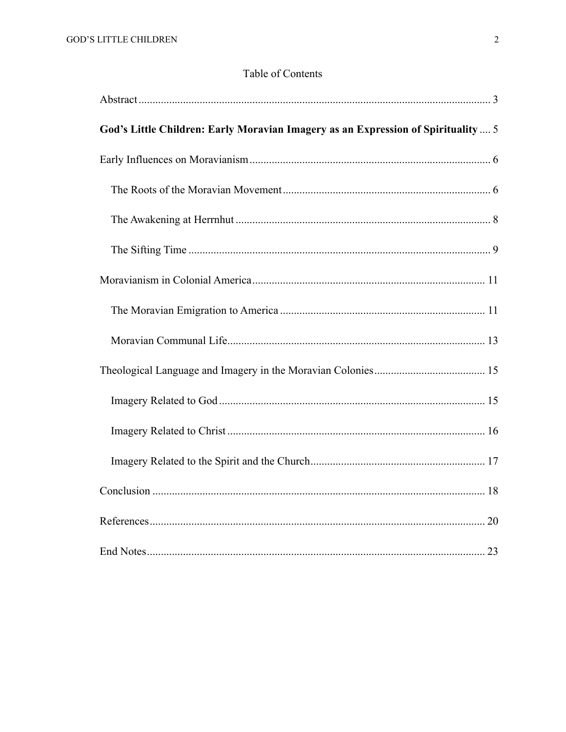# Table of Contents

| God's Little Children: Early Moravian Imagery as an Expression of Spirituality  5 |
|-----------------------------------------------------------------------------------|
|                                                                                   |
|                                                                                   |
|                                                                                   |
|                                                                                   |
|                                                                                   |
|                                                                                   |
|                                                                                   |
|                                                                                   |
|                                                                                   |
|                                                                                   |
|                                                                                   |
|                                                                                   |
|                                                                                   |
|                                                                                   |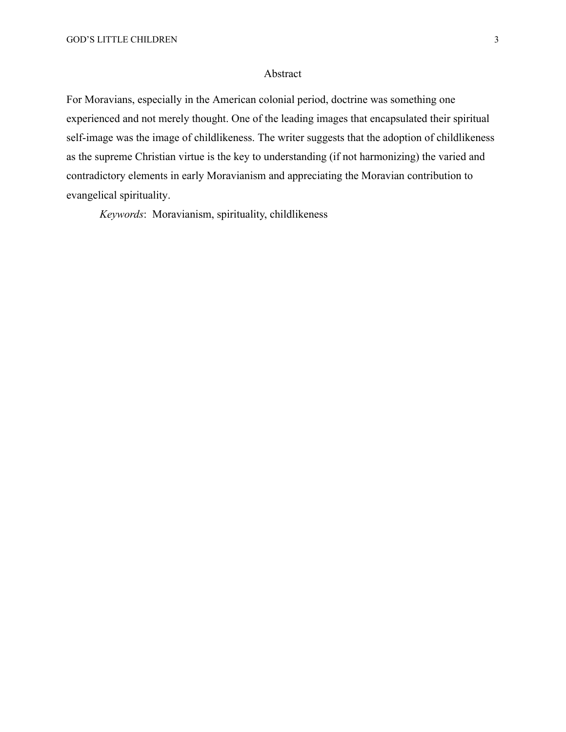#### Abstract

For Moravians, especially in the American colonial period, doctrine was something one experienced and not merely thought. One of the leading images that encapsulated their spiritual self-image was the image of childlikeness. The writer suggests that the adoption of childlikeness as the supreme Christian virtue is the key to understanding (if not harmonizing) the varied and contradictory elements in early Moravianism and appreciating the Moravian contribution to evangelical spirituality.

*Keywords*: Moravianism, spirituality, childlikeness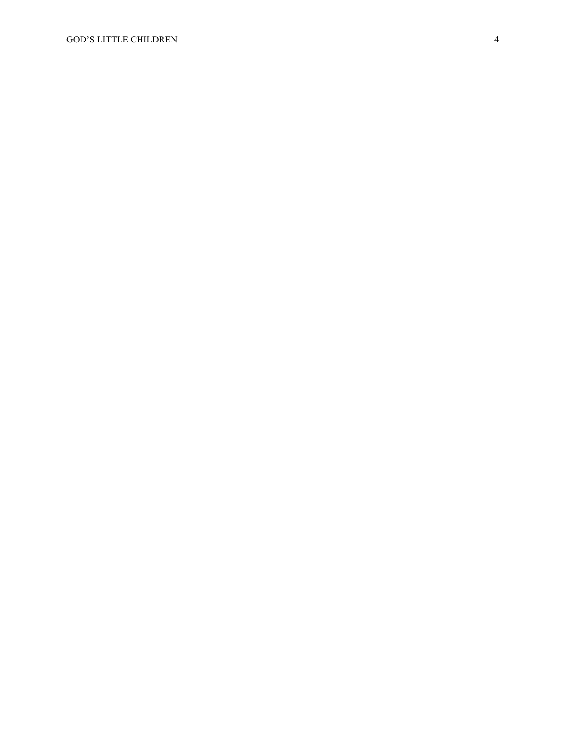# GOD'S LITTLE CHILDREN 4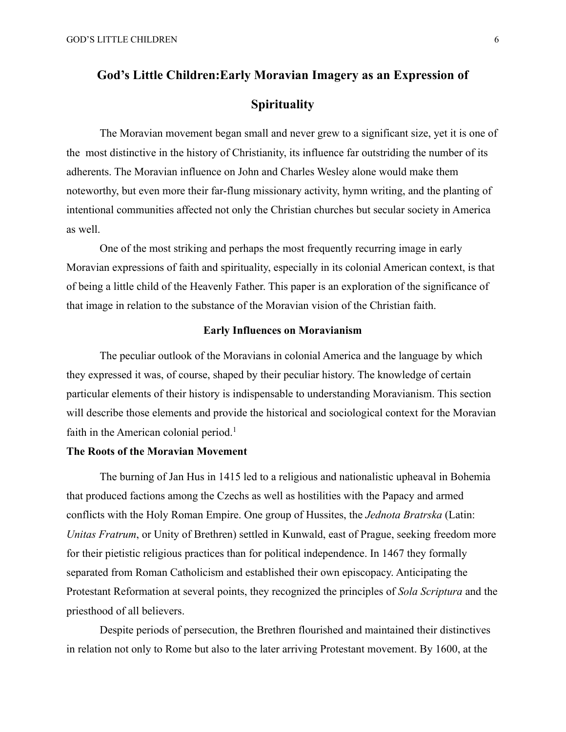# **God's Little Children:Early Moravian Imagery as an Expression of Spirituality**

The Moravian movement began small and never grew to a significant size, yet it is one of the most distinctive in the history of Christianity, its influence far outstriding the number of its adherents. The Moravian influence on John and Charles Wesley alone would make them noteworthy, but even more their far-flung missionary activity, hymn writing, and the planting of intentional communities affected not only the Christian churches but secular society in America as well.

One of the most striking and perhaps the most frequently recurring image in early Moravian expressions of faith and spirituality, especially in its colonial American context, is that of being a little child of the Heavenly Father. This paper is an exploration of the significance of that image in relation to the substance of the Moravian vision of the Christian faith.

# **Early Influences on Moravianism**

The peculiar outlook of the Moravians in colonial America and the language by which they expressed it was, of course, shaped by their peculiar history. The knowledge of certain particular elements of their history is indispensable to understanding Moravianism. This section will describe those elements and provide the historical and sociological context for the Moravian faith in the American colonial period.<sup>1</sup>

#### **The Roots of the Moravian Movement**

The burning of Jan Hus in 1415 led to a religious and nationalistic upheaval in Bohemia that produced factions among the Czechs as well as hostilities with the Papacy and armed conflicts with the Holy Roman Empire. One group of Hussites, the *Jednota Bratrska* (Latin: *Unitas Fratrum*, or Unity of Brethren) settled in Kunwald, east of Prague, seeking freedom more for their pietistic religious practices than for political independence. In 1467 they formally separated from Roman Catholicism and established their own episcopacy. Anticipating the Protestant Reformation at several points, they recognized the principles of *Sola Scriptura* and the priesthood of all believers.

Despite periods of persecution, the Brethren flourished and maintained their distinctives in relation not only to Rome but also to the later arriving Protestant movement. By 1600, at the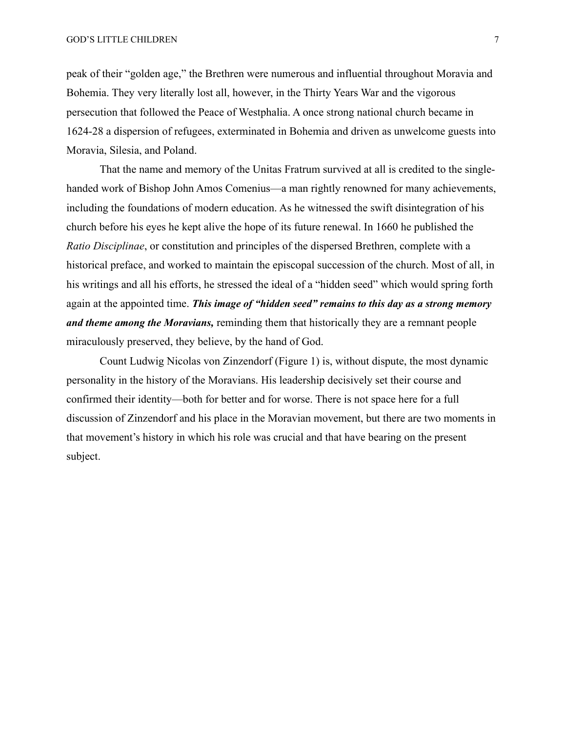peak of their "golden age," the Brethren were numerous and influential throughout Moravia and Bohemia. They very literally lost all, however, in the Thirty Years War and the vigorous persecution that followed the Peace of Westphalia. A once strong national church became in 1624-28 a dispersion of refugees, exterminated in Bohemia and driven as unwelcome guests into Moravia, Silesia, and Poland.

That the name and memory of the Unitas Fratrum survived at all is credited to the singlehanded work of Bishop John Amos Comenius—a man rightly renowned for many achievements, including the foundations of modern education. As he witnessed the swift disintegration of his church before his eyes he kept alive the hope of its future renewal. In 1660 he published the *Ratio Disciplinae*, or constitution and principles of the dispersed Brethren, complete with a historical preface, and worked to maintain the episcopal succession of the church. Most of all, in his writings and all his efforts, he stressed the ideal of a "hidden seed" which would spring forth again at the appointed time. *This image of "hidden seed" remains to this day as a strong memory and theme among the Moravians,* reminding them that historically they are a remnant people miraculously preserved, they believe, by the hand of God.

Count Ludwig Nicolas von Zinzendorf (Figure 1) is, without dispute, the most dynamic personality in the history of the Moravians. His leadership decisively set their course and confirmed their identity—both for better and for worse. There is not space here for a full discussion of Zinzendorf and his place in the Moravian movement, but there are two moments in that movement's history in which his role was crucial and that have bearing on the present subject.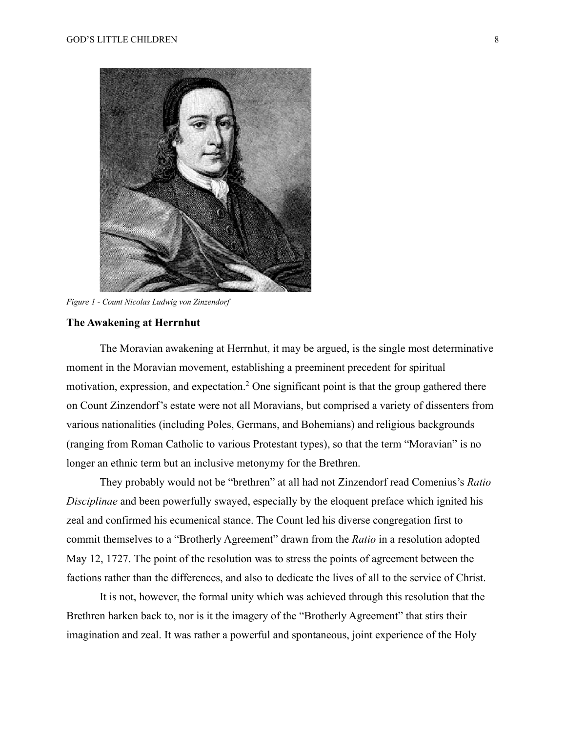

*Figure 1 - Count Nicolas Ludwig von Zinzendorf*

# **The Awakening at Herrnhut**

The Moravian awakening at Herrnhut, it may be argued, is the single most determinative moment in the Moravian movement, establishing a preeminent precedent for spiritual motivation, expression, and expectation.2 One significant point is that the group gathered there on Count Zinzendorf's estate were not all Moravians, but comprised a variety of dissenters from various nationalities (including Poles, Germans, and Bohemians) and religious backgrounds (ranging from Roman Catholic to various Protestant types), so that the term "Moravian" is no longer an ethnic term but an inclusive metonymy for the Brethren.

They probably would not be "brethren" at all had not Zinzendorf read Comenius's *Ratio Disciplinae* and been powerfully swayed, especially by the eloquent preface which ignited his zeal and confirmed his ecumenical stance. The Count led his diverse congregation first to commit themselves to a "Brotherly Agreement" drawn from the *Ratio* in a resolution adopted May 12, 1727. The point of the resolution was to stress the points of agreement between the factions rather than the differences, and also to dedicate the lives of all to the service of Christ.

It is not, however, the formal unity which was achieved through this resolution that the Brethren harken back to, nor is it the imagery of the "Brotherly Agreement" that stirs their imagination and zeal. It was rather a powerful and spontaneous, joint experience of the Holy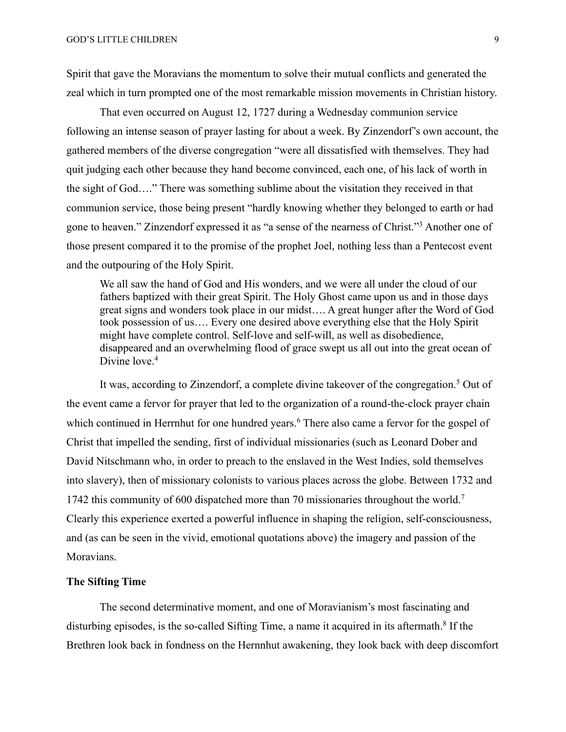Spirit that gave the Moravians the momentum to solve their mutual conflicts and generated the zeal which in turn prompted one of the most remarkable mission movements in Christian history.

That even occurred on August 12, 1727 during a Wednesday communion service following an intense season of prayer lasting for about a week. By Zinzendorf's own account, the gathered members of the diverse congregation "were all dissatisfied with themselves. They had quit judging each other because they hand become convinced, each one, of his lack of worth in the sight of God…." There was something sublime about the visitation they received in that communion service, those being present "hardly knowing whether they belonged to earth or had gone to heaven." Zinzendorf expressed it as "a sense of the nearness of Christ."3 Another one of those present compared it to the promise of the prophet Joel, nothing less than a Pentecost event and the outpouring of the Holy Spirit.

We all saw the hand of God and His wonders, and we were all under the cloud of our fathers baptized with their great Spirit. The Holy Ghost came upon us and in those days great signs and wonders took place in our midst…. A great hunger after the Word of God took possession of us…. Every one desired above everything else that the Holy Spirit might have complete control. Self-love and self-will, as well as disobedience, disappeared and an overwhelming flood of grace swept us all out into the great ocean of Divine love.<sup>4</sup>

It was, according to Zinzendorf, a complete divine takeover of the congregation.<sup>5</sup> Out of the event came a fervor for prayer that led to the organization of a round-the-clock prayer chain which continued in Herrnhut for one hundred years.<sup>6</sup> There also came a fervor for the gospel of Christ that impelled the sending, first of individual missionaries (such as Leonard Dober and David Nitschmann who, in order to preach to the enslaved in the West Indies, sold themselves into slavery), then of missionary colonists to various places across the globe. Between 1732 and 1742 this community of 600 dispatched more than 70 missionaries throughout the world.<sup>7</sup> Clearly this experience exerted a powerful influence in shaping the religion, self-consciousness, and (as can be seen in the vivid, emotional quotations above) the imagery and passion of the Moravians.

# **The Sifting Time**

The second determinative moment, and one of Moravianism's most fascinating and disturbing episodes, is the so-called Sifting Time, a name it acquired in its aftermath.<sup>8</sup> If the Brethren look back in fondness on the Hernnhut awakening, they look back with deep discomfort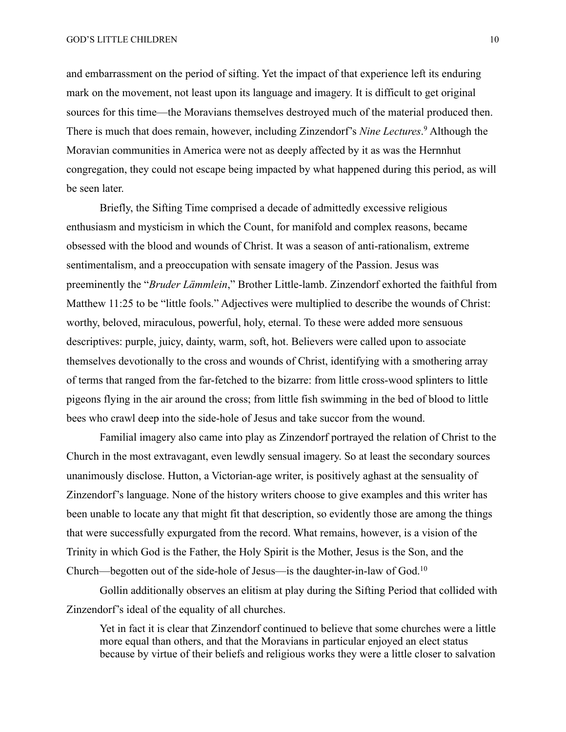and embarrassment on the period of sifting. Yet the impact of that experience left its enduring mark on the movement, not least upon its language and imagery. It is difficult to get original sources for this time—the Moravians themselves destroyed much of the material produced then. There is much that does remain, however, including Zinzendorf's *Nine Lectures*. <sup>9</sup> Although the Moravian communities in America were not as deeply affected by it as was the Hernnhut congregation, they could not escape being impacted by what happened during this period, as will be seen later.

Briefly, the Sifting Time comprised a decade of admittedly excessive religious enthusiasm and mysticism in which the Count, for manifold and complex reasons, became obsessed with the blood and wounds of Christ. It was a season of anti-rationalism, extreme sentimentalism, and a preoccupation with sensate imagery of the Passion. Jesus was preeminently the "*Bruder Lämmlein*," Brother Little-lamb. Zinzendorf exhorted the faithful from Matthew 11:25 to be "little fools." Adjectives were multiplied to describe the wounds of Christ: worthy, beloved, miraculous, powerful, holy, eternal. To these were added more sensuous descriptives: purple, juicy, dainty, warm, soft, hot. Believers were called upon to associate themselves devotionally to the cross and wounds of Christ, identifying with a smothering array of terms that ranged from the far-fetched to the bizarre: from little cross-wood splinters to little pigeons flying in the air around the cross; from little fish swimming in the bed of blood to little bees who crawl deep into the side-hole of Jesus and take succor from the wound.

Familial imagery also came into play as Zinzendorf portrayed the relation of Christ to the Church in the most extravagant, even lewdly sensual imagery. So at least the secondary sources unanimously disclose. Hutton, a Victorian-age writer, is positively aghast at the sensuality of Zinzendorf's language. None of the history writers choose to give examples and this writer has been unable to locate any that might fit that description, so evidently those are among the things that were successfully expurgated from the record. What remains, however, is a vision of the Trinity in which God is the Father, the Holy Spirit is the Mother, Jesus is the Son, and the Church—begotten out of the side-hole of Jesus—is the daughter-in-law of God.<sup>10</sup>

Gollin additionally observes an elitism at play during the Sifting Period that collided with Zinzendorf's ideal of the equality of all churches.

Yet in fact it is clear that Zinzendorf continued to believe that some churches were a little more equal than others, and that the Moravians in particular enjoyed an elect status because by virtue of their beliefs and religious works they were a little closer to salvation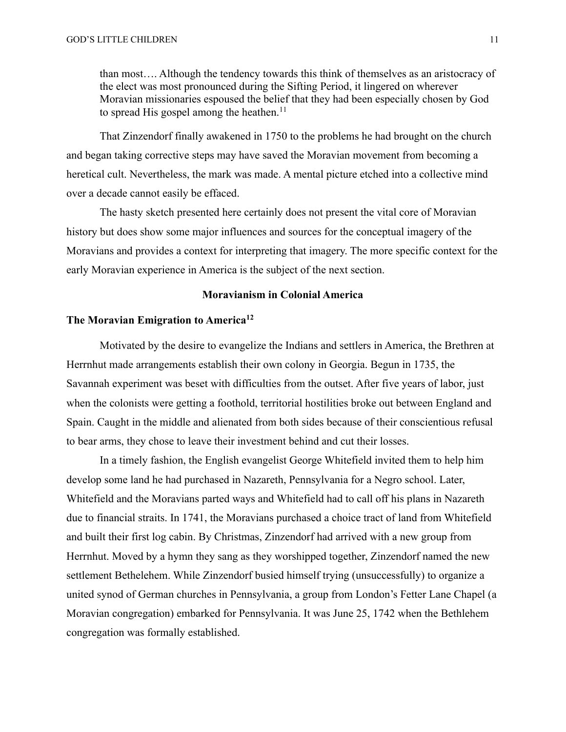than most…. Although the tendency towards this think of themselves as an aristocracy of the elect was most pronounced during the Sifting Period, it lingered on wherever Moravian missionaries espoused the belief that they had been especially chosen by God to spread His gospel among the heathen.<sup>11</sup>

That Zinzendorf finally awakened in 1750 to the problems he had brought on the church and began taking corrective steps may have saved the Moravian movement from becoming a heretical cult. Nevertheless, the mark was made. A mental picture etched into a collective mind over a decade cannot easily be effaced.

The hasty sketch presented here certainly does not present the vital core of Moravian history but does show some major influences and sources for the conceptual imagery of the Moravians and provides a context for interpreting that imagery. The more specific context for the early Moravian experience in America is the subject of the next section.

# **Moravianism in Colonial America**

# **The Moravian Emigration to America12**

Motivated by the desire to evangelize the Indians and settlers in America, the Brethren at Herrnhut made arrangements establish their own colony in Georgia. Begun in 1735, the Savannah experiment was beset with difficulties from the outset. After five years of labor, just when the colonists were getting a foothold, territorial hostilities broke out between England and Spain. Caught in the middle and alienated from both sides because of their conscientious refusal to bear arms, they chose to leave their investment behind and cut their losses.

In a timely fashion, the English evangelist George Whitefield invited them to help him develop some land he had purchased in Nazareth, Pennsylvania for a Negro school. Later, Whitefield and the Moravians parted ways and Whitefield had to call off his plans in Nazareth due to financial straits. In 1741, the Moravians purchased a choice tract of land from Whitefield and built their first log cabin. By Christmas, Zinzendorf had arrived with a new group from Herrnhut. Moved by a hymn they sang as they worshipped together, Zinzendorf named the new settlement Bethelehem. While Zinzendorf busied himself trying (unsuccessfully) to organize a united synod of German churches in Pennsylvania, a group from London's Fetter Lane Chapel (a Moravian congregation) embarked for Pennsylvania. It was June 25, 1742 when the Bethlehem congregation was formally established.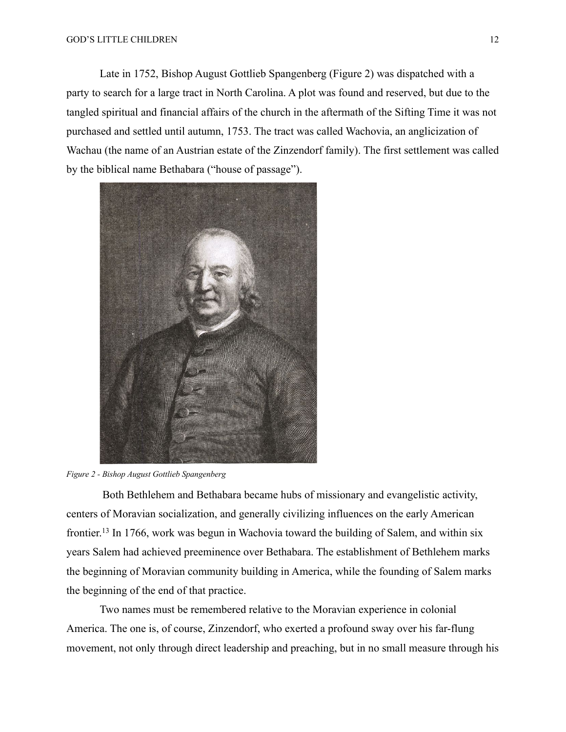Late in 1752, Bishop August Gottlieb Spangenberg (Figure 2) was dispatched with a party to search for a large tract in North Carolina. A plot was found and reserved, but due to the tangled spiritual and financial affairs of the church in the aftermath of the Sifting Time it was not purchased and settled until autumn, 1753. The tract was called Wachovia, an anglicization of Wachau (the name of an Austrian estate of the Zinzendorf family). The first settlement was called by the biblical name Bethabara ("house of passage").



*Figure 2 - Bishop August Gottlieb Spangenberg*

Both Bethlehem and Bethabara became hubs of missionary and evangelistic activity, centers of Moravian socialization, and generally civilizing influences on the early American frontier.13 In 1766, work was begun in Wachovia toward the building of Salem, and within six years Salem had achieved preeminence over Bethabara. The establishment of Bethlehem marks the beginning of Moravian community building in America, while the founding of Salem marks the beginning of the end of that practice.

Two names must be remembered relative to the Moravian experience in colonial America. The one is, of course, Zinzendorf, who exerted a profound sway over his far-flung movement, not only through direct leadership and preaching, but in no small measure through his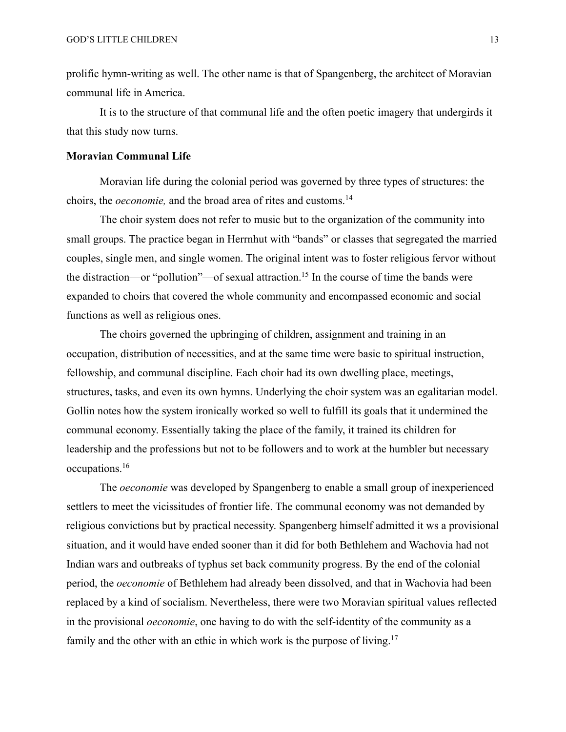prolific hymn-writing as well. The other name is that of Spangenberg, the architect of Moravian communal life in America.

It is to the structure of that communal life and the often poetic imagery that undergirds it that this study now turns.

# **Moravian Communal Life**

Moravian life during the colonial period was governed by three types of structures: the choirs, the *oeconomie,* and the broad area of rites and customs.14

The choir system does not refer to music but to the organization of the community into small groups. The practice began in Herrnhut with "bands" or classes that segregated the married couples, single men, and single women. The original intent was to foster religious fervor without the distraction—or "pollution"—of sexual attraction.<sup>15</sup> In the course of time the bands were expanded to choirs that covered the whole community and encompassed economic and social functions as well as religious ones.

The choirs governed the upbringing of children, assignment and training in an occupation, distribution of necessities, and at the same time were basic to spiritual instruction, fellowship, and communal discipline. Each choir had its own dwelling place, meetings, structures, tasks, and even its own hymns. Underlying the choir system was an egalitarian model. Gollin notes how the system ironically worked so well to fulfill its goals that it undermined the communal economy. Essentially taking the place of the family, it trained its children for leadership and the professions but not to be followers and to work at the humbler but necessary occupations.16

The *oeconomie* was developed by Spangenberg to enable a small group of inexperienced settlers to meet the vicissitudes of frontier life. The communal economy was not demanded by religious convictions but by practical necessity. Spangenberg himself admitted it ws a provisional situation, and it would have ended sooner than it did for both Bethlehem and Wachovia had not Indian wars and outbreaks of typhus set back community progress. By the end of the colonial period, the *oeconomie* of Bethlehem had already been dissolved, and that in Wachovia had been replaced by a kind of socialism. Nevertheless, there were two Moravian spiritual values reflected in the provisional *oeconomie*, one having to do with the self-identity of the community as a family and the other with an ethic in which work is the purpose of living.<sup>17</sup>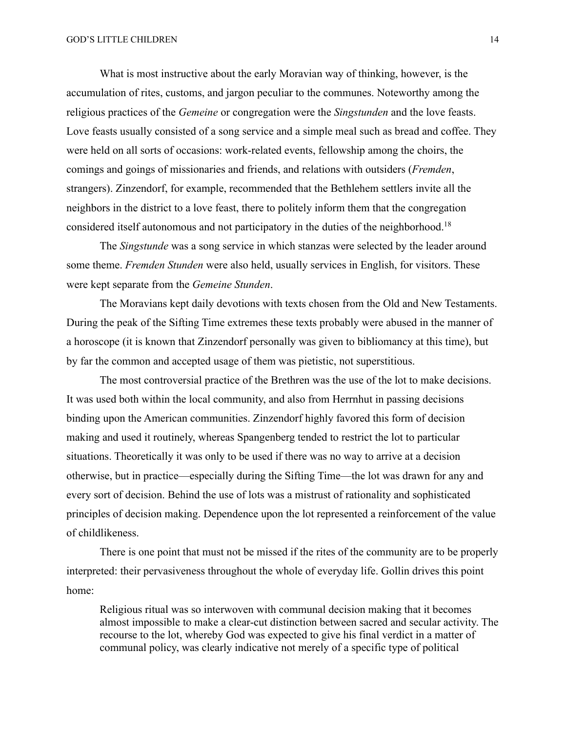What is most instructive about the early Moravian way of thinking, however, is the accumulation of rites, customs, and jargon peculiar to the communes. Noteworthy among the religious practices of the *Gemeine* or congregation were the *Singstunden* and the love feasts. Love feasts usually consisted of a song service and a simple meal such as bread and coffee. They were held on all sorts of occasions: work-related events, fellowship among the choirs, the comings and goings of missionaries and friends, and relations with outsiders (*Fremden*, strangers). Zinzendorf, for example, recommended that the Bethlehem settlers invite all the neighbors in the district to a love feast, there to politely inform them that the congregation considered itself autonomous and not participatory in the duties of the neighborhood.<sup>18</sup>

The *Singstunde* was a song service in which stanzas were selected by the leader around some theme. *Fremden Stunden* were also held, usually services in English, for visitors. These were kept separate from the *Gemeine Stunden*.

The Moravians kept daily devotions with texts chosen from the Old and New Testaments. During the peak of the Sifting Time extremes these texts probably were abused in the manner of a horoscope (it is known that Zinzendorf personally was given to bibliomancy at this time), but by far the common and accepted usage of them was pietistic, not superstitious.

The most controversial practice of the Brethren was the use of the lot to make decisions. It was used both within the local community, and also from Herrnhut in passing decisions binding upon the American communities. Zinzendorf highly favored this form of decision making and used it routinely, whereas Spangenberg tended to restrict the lot to particular situations. Theoretically it was only to be used if there was no way to arrive at a decision otherwise, but in practice—especially during the Sifting Time—the lot was drawn for any and every sort of decision. Behind the use of lots was a mistrust of rationality and sophisticated principles of decision making. Dependence upon the lot represented a reinforcement of the value of childlikeness.

There is one point that must not be missed if the rites of the community are to be properly interpreted: their pervasiveness throughout the whole of everyday life. Gollin drives this point home:

Religious ritual was so interwoven with communal decision making that it becomes almost impossible to make a clear-cut distinction between sacred and secular activity. The recourse to the lot, whereby God was expected to give his final verdict in a matter of communal policy, was clearly indicative not merely of a specific type of political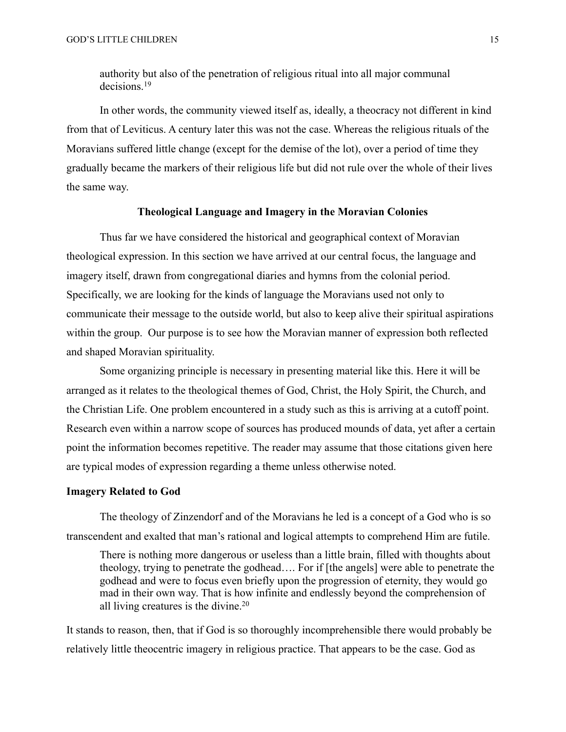authority but also of the penetration of religious ritual into all major communal decisions.19

In other words, the community viewed itself as, ideally, a theocracy not different in kind from that of Leviticus. A century later this was not the case. Whereas the religious rituals of the Moravians suffered little change (except for the demise of the lot), over a period of time they gradually became the markers of their religious life but did not rule over the whole of their lives the same way.

#### **Theological Language and Imagery in the Moravian Colonies**

Thus far we have considered the historical and geographical context of Moravian theological expression. In this section we have arrived at our central focus, the language and imagery itself, drawn from congregational diaries and hymns from the colonial period. Specifically, we are looking for the kinds of language the Moravians used not only to communicate their message to the outside world, but also to keep alive their spiritual aspirations within the group. Our purpose is to see how the Moravian manner of expression both reflected and shaped Moravian spirituality.

Some organizing principle is necessary in presenting material like this. Here it will be arranged as it relates to the theological themes of God, Christ, the Holy Spirit, the Church, and the Christian Life. One problem encountered in a study such as this is arriving at a cutoff point. Research even within a narrow scope of sources has produced mounds of data, yet after a certain point the information becomes repetitive. The reader may assume that those citations given here are typical modes of expression regarding a theme unless otherwise noted.

#### **Imagery Related to God**

The theology of Zinzendorf and of the Moravians he led is a concept of a God who is so transcendent and exalted that man's rational and logical attempts to comprehend Him are futile.

There is nothing more dangerous or useless than a little brain, filled with thoughts about theology, trying to penetrate the godhead…. For if [the angels] were able to penetrate the godhead and were to focus even briefly upon the progression of eternity, they would go mad in their own way. That is how infinite and endlessly beyond the comprehension of all living creatures is the divine.20

It stands to reason, then, that if God is so thoroughly incomprehensible there would probably be relatively little theocentric imagery in religious practice. That appears to be the case. God as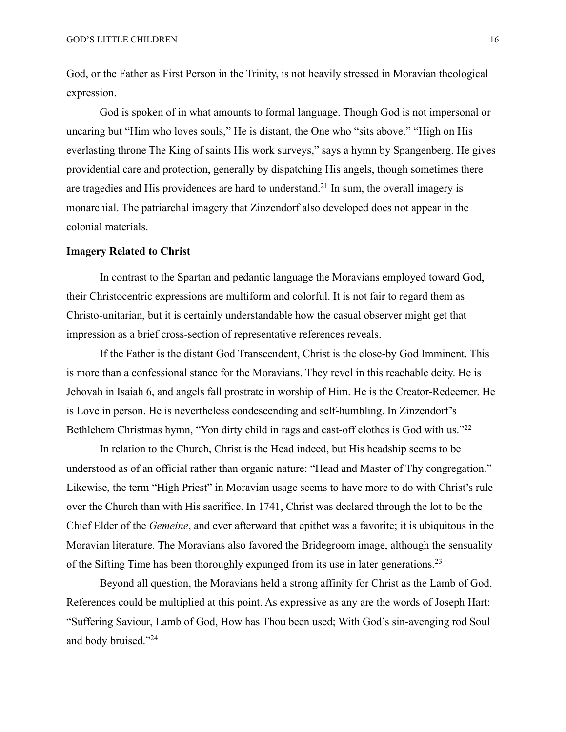God, or the Father as First Person in the Trinity, is not heavily stressed in Moravian theological expression.

God is spoken of in what amounts to formal language. Though God is not impersonal or uncaring but "Him who loves souls," He is distant, the One who "sits above." "High on His everlasting throne The King of saints His work surveys," says a hymn by Spangenberg. He gives providential care and protection, generally by dispatching His angels, though sometimes there are tragedies and His providences are hard to understand.<sup>21</sup> In sum, the overall imagery is monarchial. The patriarchal imagery that Zinzendorf also developed does not appear in the colonial materials.

### **Imagery Related to Christ**

In contrast to the Spartan and pedantic language the Moravians employed toward God, their Christocentric expressions are multiform and colorful. It is not fair to regard them as Christo-unitarian, but it is certainly understandable how the casual observer might get that impression as a brief cross-section of representative references reveals.

If the Father is the distant God Transcendent, Christ is the close-by God Imminent. This is more than a confessional stance for the Moravians. They revel in this reachable deity. He is Jehovah in Isaiah 6, and angels fall prostrate in worship of Him. He is the Creator-Redeemer. He is Love in person. He is nevertheless condescending and self-humbling. In Zinzendorf's Bethlehem Christmas hymn, "Yon dirty child in rags and cast-off clothes is God with us."22

In relation to the Church, Christ is the Head indeed, but His headship seems to be understood as of an official rather than organic nature: "Head and Master of Thy congregation." Likewise, the term "High Priest" in Moravian usage seems to have more to do with Christ's rule over the Church than with His sacrifice. In 1741, Christ was declared through the lot to be the Chief Elder of the *Gemeine*, and ever afterward that epithet was a favorite; it is ubiquitous in the Moravian literature. The Moravians also favored the Bridegroom image, although the sensuality of the Sifting Time has been thoroughly expunged from its use in later generations.<sup>23</sup>

Beyond all question, the Moravians held a strong affinity for Christ as the Lamb of God. References could be multiplied at this point. As expressive as any are the words of Joseph Hart: "Suffering Saviour, Lamb of God, How has Thou been used; With God's sin-avenging rod Soul and body bruised."<sup>24</sup>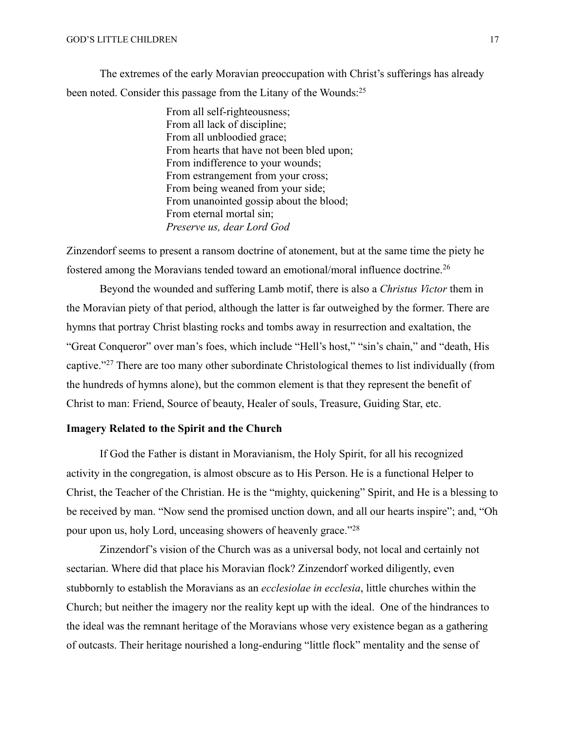The extremes of the early Moravian preoccupation with Christ's sufferings has already been noted. Consider this passage from the Litany of the Wounds:<sup>25</sup>

> From all self-righteousness; From all lack of discipline; From all unbloodied grace; From hearts that have not been bled upon; From indifference to your wounds; From estrangement from your cross; From being weaned from your side; From unanointed gossip about the blood; From eternal mortal sin; *Preserve us, dear Lord God*

Zinzendorf seems to present a ransom doctrine of atonement, but at the same time the piety he fostered among the Moravians tended toward an emotional/moral influence doctrine.26

Beyond the wounded and suffering Lamb motif, there is also a *Christus Victor* them in the Moravian piety of that period, although the latter is far outweighed by the former. There are hymns that portray Christ blasting rocks and tombs away in resurrection and exaltation, the "Great Conqueror" over man's foes, which include "Hell's host," "sin's chain," and "death, His captive."27 There are too many other subordinate Christological themes to list individually (from the hundreds of hymns alone), but the common element is that they represent the benefit of Christ to man: Friend, Source of beauty, Healer of souls, Treasure, Guiding Star, etc.

# **Imagery Related to the Spirit and the Church**

If God the Father is distant in Moravianism, the Holy Spirit, for all his recognized activity in the congregation, is almost obscure as to His Person. He is a functional Helper to Christ, the Teacher of the Christian. He is the "mighty, quickening" Spirit, and He is a blessing to be received by man. "Now send the promised unction down, and all our hearts inspire"; and, "Oh pour upon us, holy Lord, unceasing showers of heavenly grace."28

Zinzendorf's vision of the Church was as a universal body, not local and certainly not sectarian. Where did that place his Moravian flock? Zinzendorf worked diligently, even stubbornly to establish the Moravians as an *ecclesiolae in ecclesia*, little churches within the Church; but neither the imagery nor the reality kept up with the ideal. One of the hindrances to the ideal was the remnant heritage of the Moravians whose very existence began as a gathering of outcasts. Their heritage nourished a long-enduring "little flock" mentality and the sense of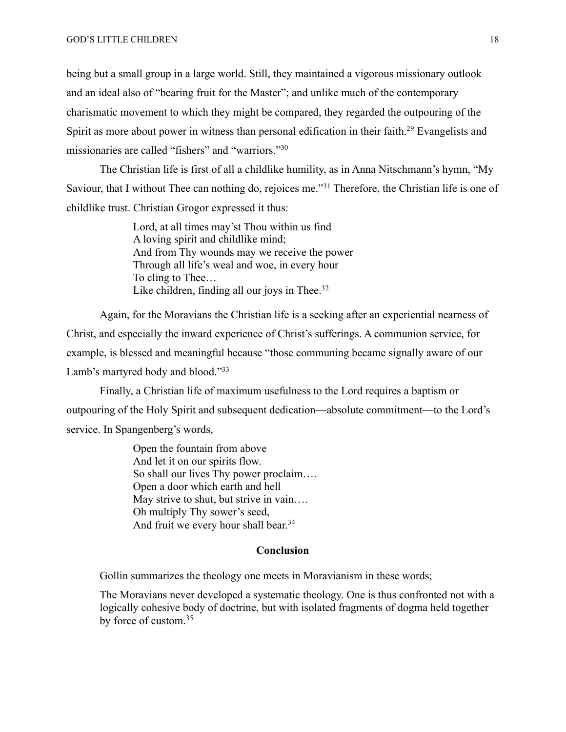being but a small group in a large world. Still, they maintained a vigorous missionary outlook and an ideal also of "bearing fruit for the Master"; and unlike much of the contemporary charismatic movement to which they might be compared, they regarded the outpouring of the Spirit as more about power in witness than personal edification in their faith.<sup>29</sup> Evangelists and missionaries are called "fishers" and "warriors."30

The Christian life is first of all a childlike humility, as in Anna Nitschmann's hymn, "My Saviour, that I without Thee can nothing do, rejoices me."<sup>31</sup> Therefore, the Christian life is one of childlike trust. Christian Grogor expressed it thus:

> Lord, at all times may'st Thou within us find A loving spirit and childlike mind; And from Thy wounds may we receive the power Through all life's weal and woe, in every hour To cling to Thee… Like children, finding all our joys in Thee.<sup>32</sup>

Again, for the Moravians the Christian life is a seeking after an experiential nearness of Christ, and especially the inward experience of Christ's sufferings. A communion service, for example, is blessed and meaningful because "those communing became signally aware of our Lamb's martyred body and blood."33

Finally, a Christian life of maximum usefulness to the Lord requires a baptism or outpouring of the Holy Spirit and subsequent dedication—absolute commitment—to the Lord's service. In Spangenberg's words,

> Open the fountain from above And let it on our spirits flow. So shall our lives Thy power proclaim…. Open a door which earth and hell May strive to shut, but strive in vain…. Oh multiply Thy sower's seed, And fruit we every hour shall bear.<sup>34</sup>

# **Conclusion**

Gollin summarizes the theology one meets in Moravianism in these words;

The Moravians never developed a systematic theology. One is thus confronted not with a logically cohesive body of doctrine, but with isolated fragments of dogma held together by force of custom.35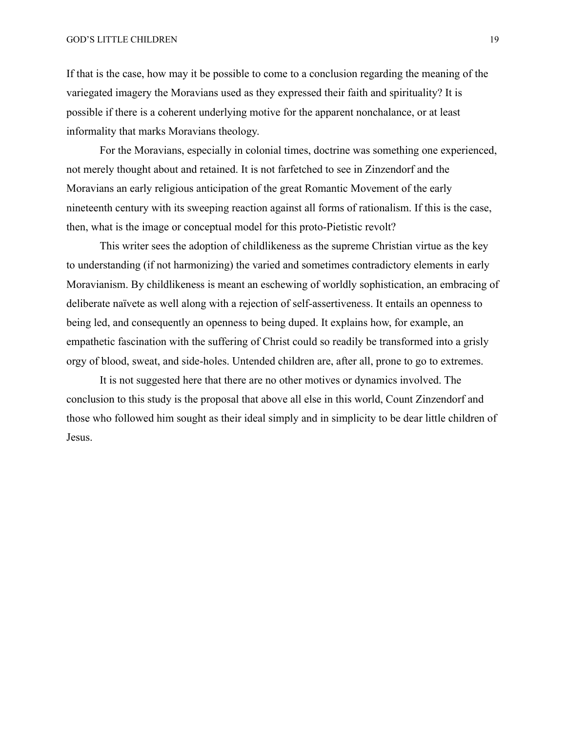If that is the case, how may it be possible to come to a conclusion regarding the meaning of the variegated imagery the Moravians used as they expressed their faith and spirituality? It is possible if there is a coherent underlying motive for the apparent nonchalance, or at least informality that marks Moravians theology.

For the Moravians, especially in colonial times, doctrine was something one experienced, not merely thought about and retained. It is not farfetched to see in Zinzendorf and the Moravians an early religious anticipation of the great Romantic Movement of the early nineteenth century with its sweeping reaction against all forms of rationalism. If this is the case, then, what is the image or conceptual model for this proto-Pietistic revolt?

This writer sees the adoption of childlikeness as the supreme Christian virtue as the key to understanding (if not harmonizing) the varied and sometimes contradictory elements in early Moravianism. By childlikeness is meant an eschewing of worldly sophistication, an embracing of deliberate naïvete as well along with a rejection of self-assertiveness. It entails an openness to being led, and consequently an openness to being duped. It explains how, for example, an empathetic fascination with the suffering of Christ could so readily be transformed into a grisly orgy of blood, sweat, and side-holes. Untended children are, after all, prone to go to extremes.

It is not suggested here that there are no other motives or dynamics involved. The conclusion to this study is the proposal that above all else in this world, Count Zinzendorf and those who followed him sought as their ideal simply and in simplicity to be dear little children of Jesus.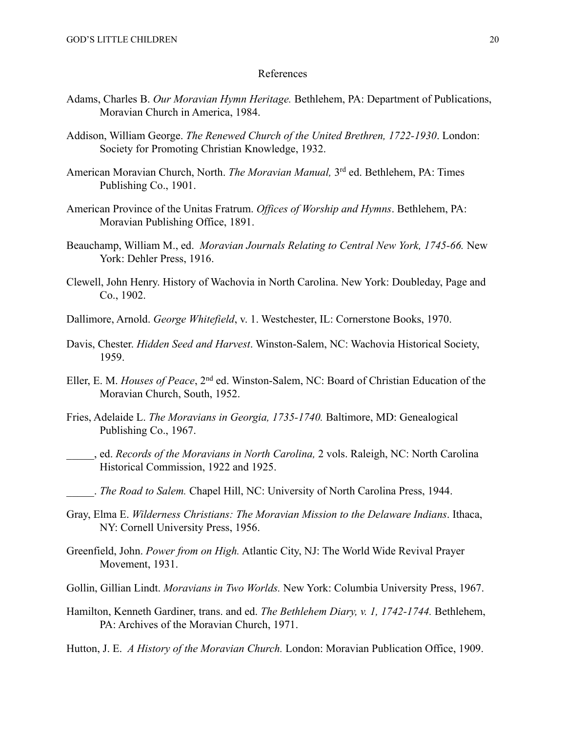#### References

- Adams, Charles B. *Our Moravian Hymn Heritage.* Bethlehem, PA: Department of Publications, Moravian Church in America, 1984.
- Addison, William George. *The Renewed Church of the United Brethren, 1722-1930*. London: Society for Promoting Christian Knowledge, 1932.
- American Moravian Church, North. *The Moravian Manual*, 3<sup>rd</sup> ed. Bethlehem, PA: Times Publishing Co., 1901.
- American Province of the Unitas Fratrum. *Offices of Worship and Hymns*. Bethlehem, PA: Moravian Publishing Office, 1891.
- Beauchamp, William M., ed. *Moravian Journals Relating to Central New York, 1745-66.* New York: Dehler Press, 1916.
- Clewell, John Henry. History of Wachovia in North Carolina. New York: Doubleday, Page and Co., 1902.
- Dallimore, Arnold. *George Whitefield*, v. 1. Westchester, IL: Cornerstone Books, 1970.
- Davis, Chester. *Hidden Seed and Harvest*. Winston-Salem, NC: Wachovia Historical Society, 1959.
- Eller, E. M. *Houses of Peace*, 2nd ed. Winston-Salem, NC: Board of Christian Education of the Moravian Church, South, 1952.
- Fries, Adelaide L. *The Moravians in Georgia, 1735-1740.* Baltimore, MD: Genealogical Publishing Co., 1967.
- \_\_\_\_\_, ed. *Records of the Moravians in North Carolina,* 2 vols. Raleigh, NC: North Carolina Historical Commission, 1922 and 1925.
- \_\_\_\_\_. *The Road to Salem.* Chapel Hill, NC: University of North Carolina Press, 1944.
- Gray, Elma E. *Wilderness Christians: The Moravian Mission to the Delaware Indians*. Ithaca, NY: Cornell University Press, 1956.
- Greenfield, John. *Power from on High.* Atlantic City, NJ: The World Wide Revival Prayer Movement, 1931.
- Gollin, Gillian Lindt. *Moravians in Two Worlds.* New York: Columbia University Press, 1967.
- Hamilton, Kenneth Gardiner, trans. and ed. *The Bethlehem Diary, v. 1, 1742-1744.* Bethlehem, PA: Archives of the Moravian Church, 1971.
- Hutton, J. E. *A History of the Moravian Church.* London: Moravian Publication Office, 1909.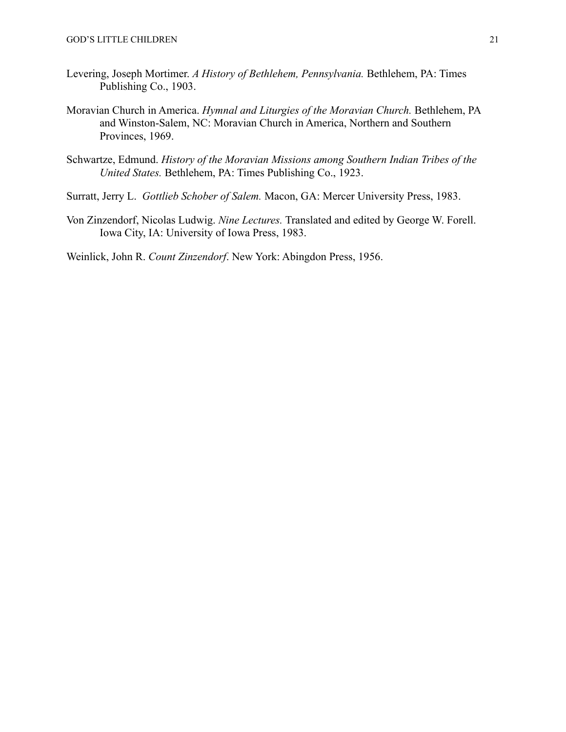- Levering, Joseph Mortimer. *A History of Bethlehem, Pennsylvania.* Bethlehem, PA: Times Publishing Co., 1903.
- Moravian Church in America. *Hymnal and Liturgies of the Moravian Church.* Bethlehem, PA and Winston-Salem, NC: Moravian Church in America, Northern and Southern Provinces, 1969.
- Schwartze, Edmund. *History of the Moravian Missions among Southern Indian Tribes of the United States.* Bethlehem, PA: Times Publishing Co., 1923.
- Surratt, Jerry L. *Gottlieb Schober of Salem.* Macon, GA: Mercer University Press, 1983.
- Von Zinzendorf, Nicolas Ludwig. *Nine Lectures.* Translated and edited by George W. Forell. Iowa City, IA: University of Iowa Press, 1983.

Weinlick, John R. *Count Zinzendorf*. New York: Abingdon Press, 1956.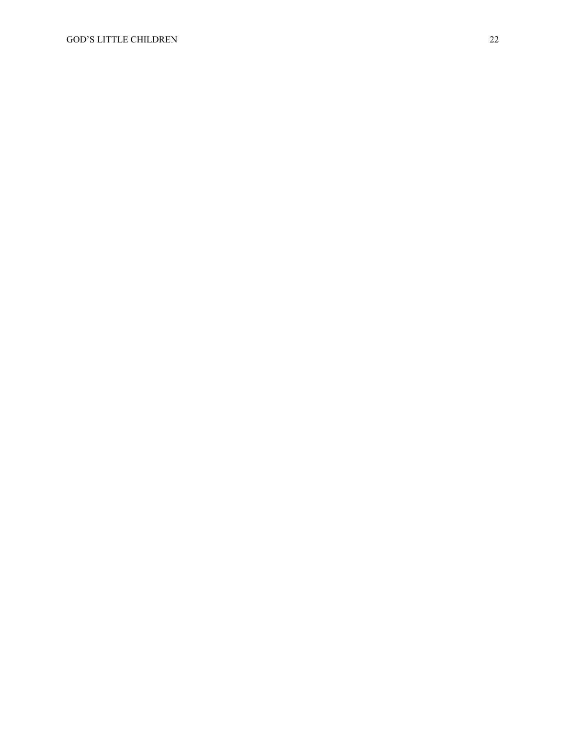# GOD'S LITTLE CHILDREN 22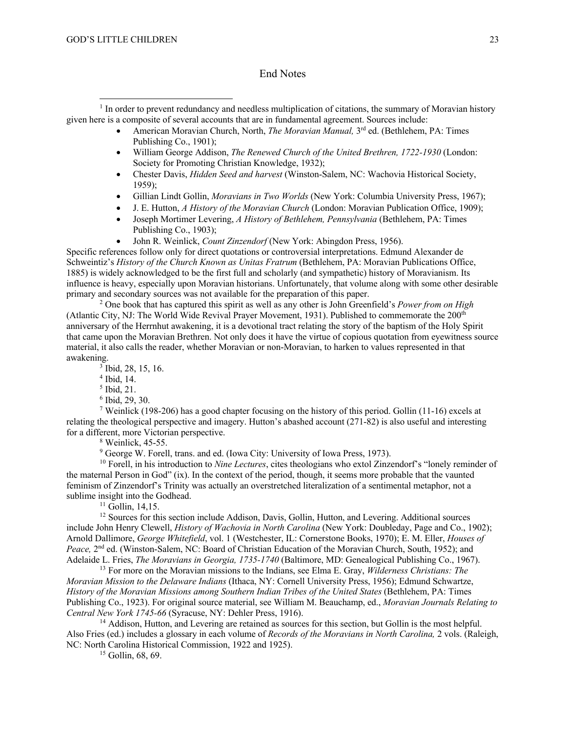# End Notes

 $1$  In order to prevent redundancy and needless multiplication of citations, the summary of Moravian history given here is a composite of several accounts that are in fundamental agreement. Sources include:

- American Moravian Church, North, *The Moravian Manual,* 3rd ed. (Bethlehem, PA: Times Publishing Co., 1901);
- William George Addison, *The Renewed Church of the United Brethren, 1722-1930* (London: Society for Promoting Christian Knowledge, 1932);
- Chester Davis, *Hidden Seed and harvest* (Winston-Salem, NC: Wachovia Historical Society, 1959);
- Gillian Lindt Gollin, *Moravians in Two Worlds* (New York: Columbia University Press, 1967);
- J. E. Hutton, *A History of the Moravian Church* (London: Moravian Publication Office, 1909);
- Joseph Mortimer Levering, *A History of Bethlehem, Pennsylvania* (Bethlehem, PA: Times Publishing Co., 1903);
- John R. Weinlick, *Count Zinzendorf* (New York: Abingdon Press, 1956).

Specific references follow only for direct quotations or controversial interpretations. Edmund Alexander de Schweintiz's *History of the Church Known as Unitas Fratrum* (Bethlehem, PA: Moravian Publications Office, 1885) is widely acknowledged to be the first full and scholarly (and sympathetic) history of Moravianism. Its influence is heavy, especially upon Moravian historians. Unfortunately, that volume along with some other desirable primary and secondary sources was not available for the preparation of this paper.

<sup>2</sup> One book that has captured this spirit as well as any other is John Greenfield's *Power from on High* (Atlantic City, NJ: The World Wide Revival Prayer Movement, 1931). Published to commemorate the 200<sup>th</sup> anniversary of the Herrnhut awakening, it is a devotional tract relating the story of the baptism of the Holy Spirit that came upon the Moravian Brethren. Not only does it have the virtue of copious quotation from eyewitness source material, it also calls the reader, whether Moravian or non-Moravian, to harken to values represented in that awakening.

- <sup>3</sup> Ibid, 28, 15, 16.
- <sup>4</sup> Ibid, 14.
- <sup>5</sup> Ibid, 21.
- <sup>6</sup> Ibid, 29, 30.

<sup>7</sup> Weinlick (198-206) has a good chapter focusing on the history of this period. Gollin (11-16) excels at relating the theological perspective and imagery. Hutton's abashed account (271-82) is also useful and interesting for a different, more Victorian perspective.

<sup>8</sup> Weinlick, 45-55.

<sup>9</sup> George W. Forell, trans. and ed. (Iowa City: University of Iowa Press, 1973).

<sup>10</sup> Forell, in his introduction to *Nine Lectures*, cites theologians who extol Zinzendorf's "lonely reminder of the maternal Person in God" (ix). In the context of the period, though, it seems more probable that the vaunted feminism of Zinzendorf's Trinity was actually an overstretched literalization of a sentimental metaphor, not a sublime insight into the Godhead.

 $11$  Gollin, 14,15.

<sup>12</sup> Sources for this section include Addison, Davis, Gollin, Hutton, and Levering. Additional sources include John Henry Clewell, *History of Wachovia in North Carolina* (New York: Doubleday, Page and Co., 1902); Arnold Dallimore, *George Whitefield*, vol. 1 (Westchester, IL: Cornerstone Books, 1970); E. M. Eller, *Houses of Peace,* 2nd ed. (Winston-Salem, NC: Board of Christian Education of the Moravian Church, South, 1952); and Adelaide L. Fries, *The Moravians in Georgia, 1735-1740* (Baltimore, MD: Genealogical Publishing Co., 1967).

<sup>13</sup> For more on the Moravian missions to the Indians, see Elma E. Gray, *Wilderness Christians: The Moravian Mission to the Delaware Indians* (Ithaca, NY: Cornell University Press, 1956); Edmund Schwartze, *History of the Moravian Missions among Southern Indian Tribes of the United States* (Bethlehem, PA: Times Publishing Co., 1923). For original source material, see William M. Beauchamp, ed., *Moravian Journals Relating to Central New York 1745-66* (Syracuse, NY: Dehler Press, 1916).

 $<sup>14</sup>$  Addison, Hutton, and Levering are retained as sources for this section, but Gollin is the most helpful.</sup> Also Fries (ed.) includes a glossary in each volume of *Records of the Moravians in North Carolina,* 2 vols. (Raleigh, NC: North Carolina Historical Commission, 1922 and 1925).

<sup>15</sup> Gollin, 68, 69.